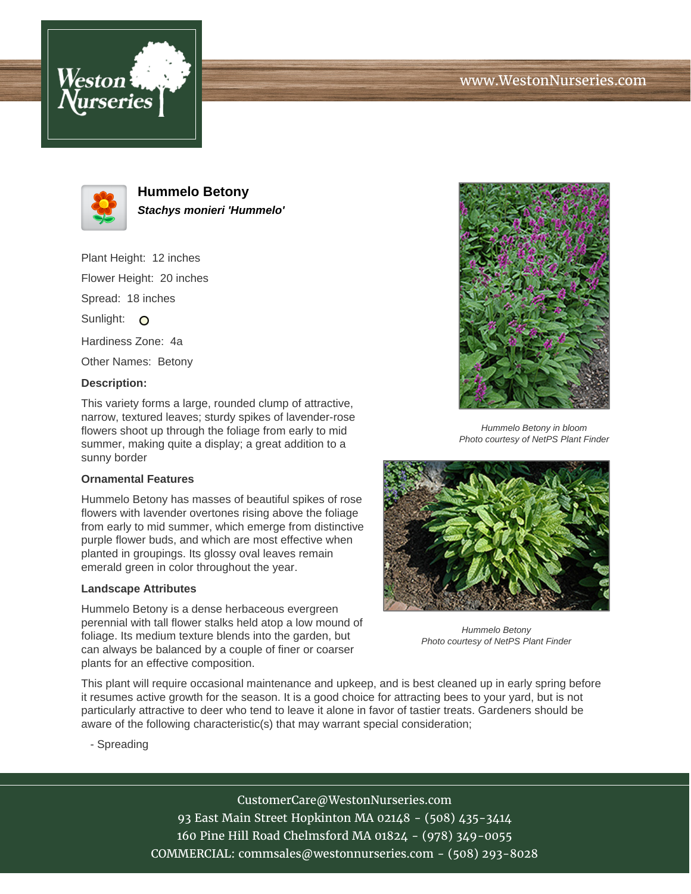# www.WestonNurseries.com





**Hummelo Betony Stachys monieri 'Hummelo'**

Plant Height: 12 inches Flower Height: 20 inches Spread: 18 inches Sunlight: O Hardiness Zone: 4a Other Names: Betony

### **Description:**

This variety forms a large, rounded clump of attractive, narrow, textured leaves; sturdy spikes of lavender-rose flowers shoot up through the foliage from early to mid summer, making quite a display; a great addition to a sunny border

#### **Ornamental Features**

Hummelo Betony has masses of beautiful spikes of rose flowers with lavender overtones rising above the foliage from early to mid summer, which emerge from distinctive purple flower buds, and which are most effective when planted in groupings. Its glossy oval leaves remain emerald green in color throughout the year.

### **Landscape Attributes**

Hummelo Betony is a dense herbaceous evergreen perennial with tall flower stalks held atop a low mound of foliage. Its medium texture blends into the garden, but can always be balanced by a couple of finer or coarser plants for an effective composition.



Hummelo Betony in bloom Photo courtesy of NetPS Plant Finder



Hummelo Betony Photo courtesy of NetPS Plant Finder

This plant will require occasional maintenance and upkeep, and is best cleaned up in early spring before it resumes active growth for the season. It is a good choice for attracting bees to your yard, but is not particularly attractive to deer who tend to leave it alone in favor of tastier treats. Gardeners should be aware of the following characteristic(s) that may warrant special consideration;

- Spreading

CustomerCare@WestonNurseries.com 93 East Main Street Hopkinton MA 02148 - (508) 435-3414 160 Pine Hill Road Chelmsford MA 01824 - (978) 349-0055 COMMERCIAL: commsales@westonnurseries.com - (508) 293-8028